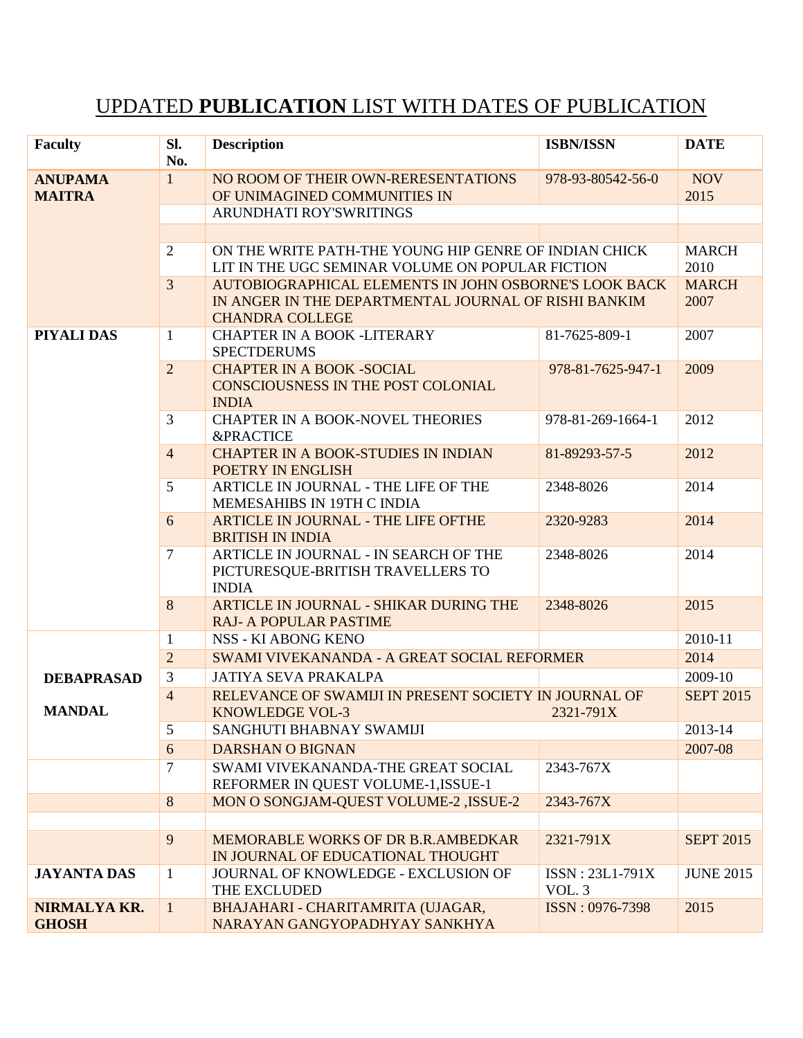## UPDATED **PUBLICATION** LIST WITH DATES OF PUBLICATION

| <b>Faculty</b>                  | Sl.<br>No.                                                              | <b>Description</b>                                                                                        | <b>ISBN/ISSN</b>  | <b>DATE</b>          |
|---------------------------------|-------------------------------------------------------------------------|-----------------------------------------------------------------------------------------------------------|-------------------|----------------------|
| <b>ANUPAMA</b><br><b>MAITRA</b> | $\mathbf{1}$                                                            | NO ROOM OF THEIR OWN-RERESENTATIONS                                                                       | 978-93-80542-56-0 | <b>NOV</b>           |
|                                 |                                                                         | OF UNIMAGINED COMMUNITIES IN                                                                              |                   | 2015                 |
|                                 |                                                                         | ARUNDHATI ROY'SWRITINGS                                                                                   |                   |                      |
|                                 |                                                                         |                                                                                                           |                   |                      |
|                                 | $\overline{2}$                                                          | ON THE WRITE PATH-THE YOUNG HIP GENRE OF INDIAN CHICK<br>LIT IN THE UGC SEMINAR VOLUME ON POPULAR FICTION |                   | <b>MARCH</b><br>2010 |
|                                 | $\overline{3}$                                                          | AUTOBIOGRAPHICAL ELEMENTS IN JOHN OSBORNE'S LOOK BACK                                                     |                   | <b>MARCH</b>         |
|                                 |                                                                         | IN ANGER IN THE DEPARTMENTAL JOURNAL OF RISHI BANKIM                                                      |                   | 2007                 |
|                                 | <b>CHANDRA COLLEGE</b>                                                  |                                                                                                           |                   |                      |
| PIYALI DAS                      | $\mathbf{1}$                                                            | <b>CHAPTER IN A BOOK -LITERARY</b>                                                                        | 81-7625-809-1     | 2007                 |
|                                 |                                                                         | <b>SPECTDERUMS</b>                                                                                        |                   |                      |
|                                 | $\overline{2}$                                                          | <b>CHAPTER IN A BOOK -SOCIAL</b><br><b>CONSCIOUSNESS IN THE POST COLONIAL</b>                             | 978-81-7625-947-1 | 2009                 |
|                                 |                                                                         | <b>INDIA</b>                                                                                              |                   |                      |
|                                 | 3                                                                       | <b>CHAPTER IN A BOOK-NOVEL THEORIES</b>                                                                   | 978-81-269-1664-1 | 2012                 |
|                                 |                                                                         | <b>&amp;PRACTICE</b>                                                                                      |                   |                      |
|                                 | $\overline{4}$                                                          | <b>CHAPTER IN A BOOK-STUDIES IN INDIAN</b>                                                                | 81-89293-57-5     | 2012                 |
|                                 |                                                                         | POETRY IN ENGLISH                                                                                         |                   |                      |
|                                 | 5                                                                       | ARTICLE IN JOURNAL - THE LIFE OF THE<br>MEMESAHIBS IN 19TH C INDIA                                        | 2348-8026         | 2014                 |
|                                 | 6                                                                       | <b>ARTICLE IN JOURNAL - THE LIFE OFTHE</b>                                                                | 2320-9283         | 2014                 |
|                                 |                                                                         | <b>BRITISH IN INDIA</b>                                                                                   |                   |                      |
|                                 | $\overline{7}$                                                          | ARTICLE IN JOURNAL - IN SEARCH OF THE                                                                     | 2348-8026         | 2014                 |
|                                 |                                                                         | PICTURESQUE-BRITISH TRAVELLERS TO                                                                         |                   |                      |
|                                 | 8                                                                       | <b>INDIA</b><br>ARTICLE IN JOURNAL - SHIKAR DURING THE                                                    | 2348-8026         | 2015                 |
|                                 |                                                                         | <b>RAJ- A POPULAR PASTIME</b>                                                                             |                   |                      |
| <b>DEBAPRASAD</b>               | $\mathbf{1}$                                                            | <b>NSS - KI ABONG KENO</b>                                                                                |                   | 2010-11              |
|                                 | $\overline{2}$                                                          | SWAMI VIVEKANANDA - A GREAT SOCIAL REFORMER                                                               |                   | 2014                 |
|                                 | 3                                                                       | <b>JATIYA SEVA PRAKALPA</b>                                                                               |                   |                      |
|                                 | $\overline{4}$<br>RELEVANCE OF SWAMIJI IN PRESENT SOCIETY IN JOURNAL OF |                                                                                                           |                   | <b>SEPT 2015</b>     |
| <b>MANDAL</b>                   |                                                                         | <b>KNOWLEDGE VOL-3</b><br>2321-791X                                                                       |                   |                      |
|                                 | 5                                                                       | SANGHUTI BHABNAY SWAMIJI                                                                                  |                   | 2013-14              |
|                                 | 6                                                                       | <b>DARSHAN O BIGNAN</b>                                                                                   |                   | 2007-08              |
|                                 | $\tau$                                                                  | SWAMI VIVEKANANDA-THE GREAT SOCIAL                                                                        | 2343-767X         |                      |
|                                 | 8                                                                       | REFORMER IN QUEST VOLUME-1, ISSUE-1<br>MON O SONGJAM-QUEST VOLUME-2, ISSUE-2                              | 2343-767X         |                      |
|                                 |                                                                         |                                                                                                           |                   |                      |
|                                 | 9                                                                       | MEMORABLE WORKS OF DR B.R.AMBEDKAR                                                                        | 2321-791X         | <b>SEPT 2015</b>     |
|                                 |                                                                         | IN JOURNAL OF EDUCATIONAL THOUGHT                                                                         |                   |                      |
| <b>JAYANTA DAS</b>              | $\mathbf{1}$                                                            | JOURNAL OF KNOWLEDGE - EXCLUSION OF                                                                       | ISSN: 23L1-791X   | <b>JUNE 2015</b>     |
|                                 |                                                                         | THE EXCLUDED                                                                                              | VOL. 3            |                      |
| NIRMALYA KR.                    | $\mathbf{1}$                                                            | BHAJAHARI - CHARITAMRITA (UJAGAR,                                                                         | ISSN: 0976-7398   | 2015                 |
| <b>GHOSH</b>                    |                                                                         | NARAYAN GANGYOPADHYAY SANKHYA                                                                             |                   |                      |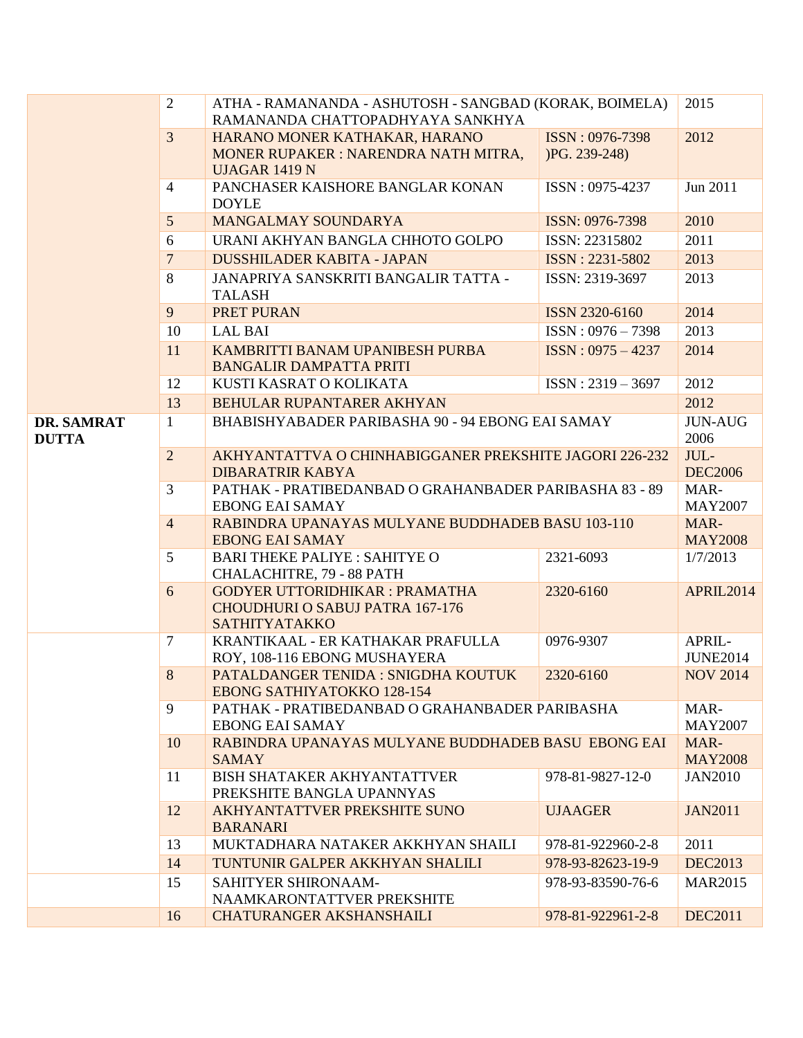|              | $\overline{2}$                                                   | ATHA - RAMANANDA - ASHUTOSH - SANGBAD (KORAK, BOIMELA)<br>RAMANANDA CHATTOPADHYAYA SANKHYA |                                                                                                      | 2015             |
|--------------|------------------------------------------------------------------|--------------------------------------------------------------------------------------------|------------------------------------------------------------------------------------------------------|------------------|
|              |                                                                  |                                                                                            |                                                                                                      |                  |
|              | $\overline{3}$                                                   | HARANO MONER KATHAKAR, HARANO                                                              | ISSN: 0976-7398                                                                                      | 2012             |
|              |                                                                  | MONER RUPAKER: NARENDRA NATH MITRA,                                                        | $PG. 239-248$                                                                                        |                  |
|              |                                                                  | <b>UJAGAR 1419 N</b>                                                                       |                                                                                                      |                  |
|              | $\overline{4}$                                                   | PANCHASER KAISHORE BANGLAR KONAN                                                           | ISSN: 0975-4237                                                                                      | Jun 2011         |
|              |                                                                  | <b>DOYLE</b>                                                                               |                                                                                                      |                  |
|              | 5                                                                | <b>MANGALMAY SOUNDARYA</b>                                                                 | ISSN: 0976-7398                                                                                      | 2010             |
|              | 6                                                                | URANI AKHYAN BANGLA CHHOTO GOLPO                                                           | ISSN: 22315802                                                                                       | 2011             |
|              | $\overline{7}$                                                   | <b>DUSSHILADER KABITA - JAPAN</b>                                                          | ISSN: 2231-5802                                                                                      | 2013             |
|              | 8                                                                | JANAPRIYA SANSKRITI BANGALIR TATTA -                                                       | ISSN: 2319-3697                                                                                      | 2013             |
|              |                                                                  | <b>TALASH</b>                                                                              |                                                                                                      |                  |
|              | 9                                                                | PRET PURAN                                                                                 | ISSN 2320-6160                                                                                       | 2014             |
|              | 10                                                               | <b>LAL BAI</b>                                                                             | $ISSN: 0976 - 7398$                                                                                  | 2013             |
|              | 11                                                               | KAMBRITTI BANAM UPANIBESH PURBA                                                            | $ISSN: 0975 - 4237$                                                                                  | 2014             |
|              |                                                                  | <b>BANGALIR DAMPATTA PRITI</b>                                                             |                                                                                                      |                  |
|              | 12                                                               | KUSTI KASRAT O KOLIKATA                                                                    | $ISSN: 2319 - 3697$                                                                                  | 2012             |
|              | 13                                                               | BEHULAR RUPANTARER AKHYAN                                                                  |                                                                                                      | 2012             |
| DR. SAMRAT   | $\mathbf{1}$<br>BHABISHYABADER PARIBASHA 90 - 94 EBONG EAI SAMAY |                                                                                            |                                                                                                      | <b>JUN-AUG</b>   |
| <b>DUTTA</b> |                                                                  |                                                                                            |                                                                                                      | 2006             |
|              | $\overline{2}$                                                   | AKHYANTATTVA O CHINHABIGGANER PREKSHITE JAGORI 226-232                                     |                                                                                                      | JUL-             |
|              |                                                                  | <b>DIBARATRIR KABYA</b>                                                                    |                                                                                                      | <b>DEC2006</b>   |
|              | 3                                                                | PATHAK - PRATIBEDANBAD O GRAHANBADER PARIBASHA 83 - 89                                     |                                                                                                      | MAR-             |
|              |                                                                  | <b>EBONG EAI SAMAY</b>                                                                     |                                                                                                      | <b>MAY2007</b>   |
|              | $\overline{4}$                                                   | RABINDRA UPANAYAS MULYANE BUDDHADEB BASU 103-110                                           |                                                                                                      | MAR-             |
|              |                                                                  | <b>EBONG EAI SAMAY</b>                                                                     |                                                                                                      | <b>MAY2008</b>   |
|              | 5                                                                | <b>BARI THEKE PALIYE: SAHITYE O</b>                                                        | 2321-6093                                                                                            | 1/7/2013         |
|              | 6                                                                | CHALACHITRE, 79 - 88 PATH<br><b>GODYER UTTORIDHIKAR: PRAMATHA</b>                          | 2320-6160                                                                                            | <b>APRIL2014</b> |
|              |                                                                  | <b>CHOUDHURI O SABUJ PATRA 167-176</b>                                                     |                                                                                                      |                  |
|              |                                                                  | SATHITYATAKKO                                                                              |                                                                                                      |                  |
|              | 7                                                                | KRANTIKAAL - ER KATHAKAR PRAFULLA                                                          | 0976-9307                                                                                            | APRIL-           |
|              |                                                                  | ROY, 108-116 EBONG MUSHAYERA                                                               |                                                                                                      | <b>JUNE2014</b>  |
|              | 8                                                                | PATALDANGER TENIDA : SNIGDHA KOUTUK                                                        | 2320-6160                                                                                            | <b>NOV 2014</b>  |
|              |                                                                  | <b>EBONG SATHIYATOKKO 128-154</b>                                                          |                                                                                                      |                  |
|              | 9                                                                |                                                                                            | PATHAK - PRATIBEDANBAD O GRAHANBADER PARIBASHA<br>RABINDRA UPANAYAS MULYANE BUDDHADEB BASU EBONG EAI |                  |
|              |                                                                  | <b>EBONG EAI SAMAY</b>                                                                     |                                                                                                      |                  |
|              | 10                                                               |                                                                                            |                                                                                                      |                  |
|              |                                                                  | <b>SAMAY</b>                                                                               |                                                                                                      | <b>MAY2008</b>   |
|              | 11                                                               | <b>BISH SHATAKER AKHYANTATTVER</b>                                                         | 978-81-9827-12-0                                                                                     | <b>JAN2010</b>   |
|              |                                                                  | PREKSHITE BANGLA UPANNYAS                                                                  |                                                                                                      |                  |
|              | 12                                                               | AKHYANTATTVER PREKSHITE SUNO                                                               | <b>UJAAGER</b>                                                                                       | <b>JAN2011</b>   |
|              |                                                                  | <b>BARANARI</b>                                                                            |                                                                                                      |                  |
|              | 13                                                               | MUKTADHARA NATAKER AKKHYAN SHAILI                                                          | 978-81-922960-2-8                                                                                    | 2011             |
|              | 14                                                               | TUNTUNIR GALPER AKKHYAN SHALILI                                                            | 978-93-82623-19-9                                                                                    | <b>DEC2013</b>   |
|              | 15                                                               | SAHITYER SHIRONAAM-                                                                        | 978-93-83590-76-6                                                                                    | <b>MAR2015</b>   |
|              |                                                                  | NAAMKARONTATTVER PREKSHITE                                                                 |                                                                                                      |                  |
|              | 16                                                               | <b>CHATURANGER AKSHANSHAILI</b>                                                            | 978-81-922961-2-8                                                                                    | <b>DEC2011</b>   |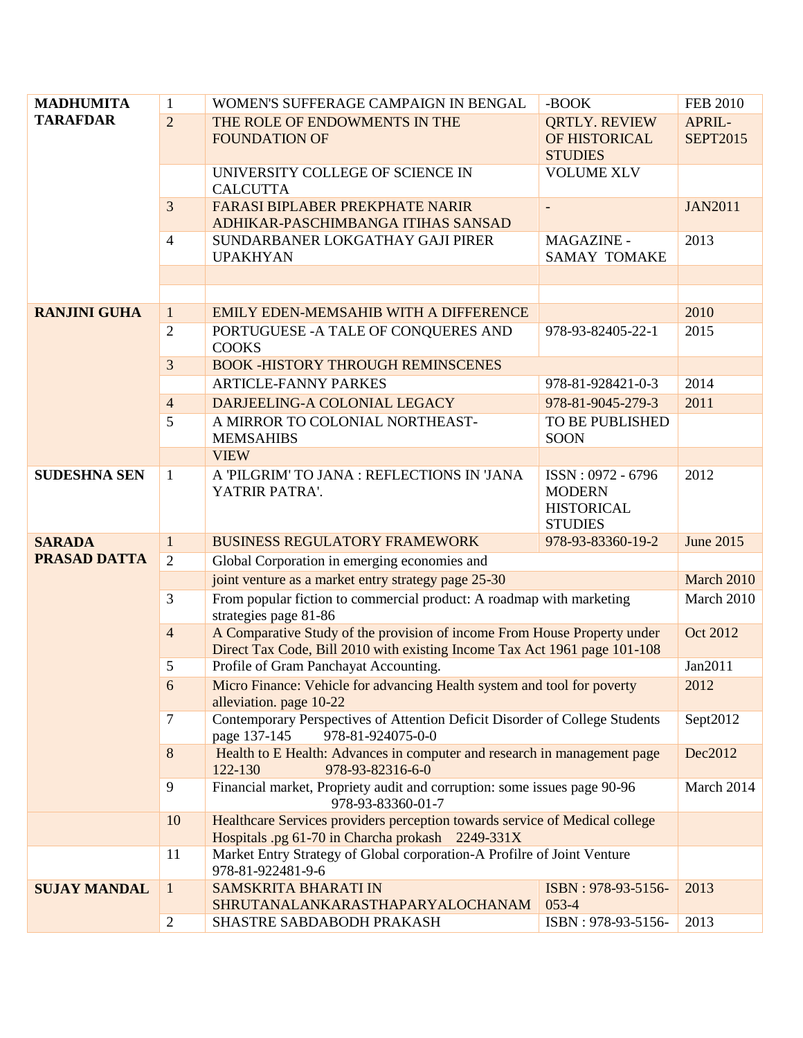| <b>MADHUMITA</b>    | $\mathbf{1}$   | WOMEN'S SUFFERAGE CAMPAIGN IN BENGAL                                                                                            | -BOOK                                    | <b>FEB 2010</b> |
|---------------------|----------------|---------------------------------------------------------------------------------------------------------------------------------|------------------------------------------|-----------------|
| <b>TARAFDAR</b>     | $\overline{2}$ | THE ROLE OF ENDOWMENTS IN THE                                                                                                   | <b>QRTLY. REVIEW</b>                     | APRIL-          |
|                     |                | <b>FOUNDATION OF</b>                                                                                                            | OF HISTORICAL<br><b>STUDIES</b>          | <b>SEPT2015</b> |
|                     |                | UNIVERSITY COLLEGE OF SCIENCE IN                                                                                                | <b>VOLUME XLV</b>                        |                 |
|                     |                | <b>CALCUTTA</b>                                                                                                                 |                                          |                 |
|                     | 3              | <b>FARASI BIPLABER PREKPHATE NARIR</b>                                                                                          | $\overline{\phantom{a}}$                 | <b>JAN2011</b>  |
|                     |                | ADHIKAR-PASCHIMBANGA ITIHAS SANSAD                                                                                              |                                          |                 |
|                     | 4              | SUNDARBANER LOKGATHAY GAJI PIRER<br><b>UPAKHYAN</b>                                                                             | <b>MAGAZINE -</b><br><b>SAMAY TOMAKE</b> | 2013            |
|                     |                |                                                                                                                                 |                                          |                 |
|                     |                |                                                                                                                                 |                                          |                 |
| <b>RANJINI GUHA</b> | $\mathbf{1}$   | EMILY EDEN-MEMSAHIB WITH A DIFFERENCE                                                                                           |                                          | 2010            |
|                     | $\overline{2}$ | PORTUGUESE - A TALE OF CONQUERES AND                                                                                            | 978-93-82405-22-1                        | 2015            |
|                     |                | <b>COOKS</b>                                                                                                                    |                                          |                 |
|                     | 3              | <b>BOOK -HISTORY THROUGH REMINSCENES</b>                                                                                        |                                          |                 |
|                     |                | <b>ARTICLE-FANNY PARKES</b>                                                                                                     | 978-81-928421-0-3                        | 2014            |
|                     | $\overline{4}$ | DARJEELING-A COLONIAL LEGACY                                                                                                    | 978-81-9045-279-3                        | 2011            |
|                     | 5              | A MIRROR TO COLONIAL NORTHEAST-<br><b>MEMSAHIBS</b>                                                                             | TO BE PUBLISHED<br><b>SOON</b>           |                 |
|                     |                | <b>VIEW</b>                                                                                                                     |                                          |                 |
| <b>SUDESHNA SEN</b> | $\mathbf{1}$   | A 'PILGRIM' TO JANA : REFLECTIONS IN 'JANA                                                                                      | ISSN: 0972 - 6796                        | 2012            |
|                     |                | YATRIR PATRA'.                                                                                                                  | <b>MODERN</b>                            |                 |
|                     |                |                                                                                                                                 | <b>HISTORICAL</b>                        |                 |
|                     |                |                                                                                                                                 | <b>STUDIES</b>                           |                 |
| <b>SARADA</b>       | $\mathbf{1}$   | <b>BUSINESS REGULATORY FRAMEWORK</b>                                                                                            | 978-93-83360-19-2                        | June 2015       |
| <b>PRASAD DATTA</b> | 2              | Global Corporation in emerging economies and                                                                                    |                                          |                 |
|                     |                | joint venture as a market entry strategy page 25-30                                                                             |                                          | March 2010      |
|                     | 3              | From popular fiction to commercial product: A roadmap with marketing<br>strategies page 81-86                                   |                                          | March 2010      |
|                     | $\overline{4}$ | A Comparative Study of the provision of income From House Property under                                                        |                                          | Oct 2012        |
|                     |                | Direct Tax Code, Bill 2010 with existing Income Tax Act 1961 page 101-108                                                       |                                          |                 |
|                     | 5              | Profile of Gram Panchayat Accounting.                                                                                           |                                          | Jan2011         |
|                     | 6              | Micro Finance: Vehicle for advancing Health system and tool for poverty                                                         |                                          | 2012            |
|                     | $\tau$         | alleviation. page 10-22                                                                                                         |                                          | Sept2012        |
|                     |                | Contemporary Perspectives of Attention Deficit Disorder of College Students<br>page 137-145<br>978-81-924075-0-0                |                                          |                 |
|                     | 8              | Health to E Health: Advances in computer and research in management page                                                        |                                          | Dec2012         |
|                     |                | 122-130<br>978-93-82316-6-0                                                                                                     |                                          |                 |
|                     | 9              | Financial market, Propriety audit and corruption: some issues page 90-96                                                        |                                          | March 2014      |
|                     | 10             | 978-93-83360-01-7                                                                                                               |                                          |                 |
|                     |                | Healthcare Services providers perception towards service of Medical college<br>Hospitals .pg 61-70 in Charcha prokash 2249-331X |                                          |                 |
|                     | 11             | Market Entry Strategy of Global corporation-A Profilre of Joint Venture                                                         |                                          |                 |
|                     |                | 978-81-922481-9-6                                                                                                               |                                          |                 |
| <b>SUJAY MANDAL</b> | $\mathbf{1}$   | <b>SAMSKRITA BHARATI IN</b>                                                                                                     | ISBN: 978-93-5156-                       | 2013            |
|                     |                | SHRUTANALANKARASTHAPARYALOCHANAM                                                                                                | $053-4$                                  |                 |
|                     | $\overline{c}$ | SHASTRE SABDABODH PRAKASH                                                                                                       | ISBN: 978-93-5156-                       | 2013            |